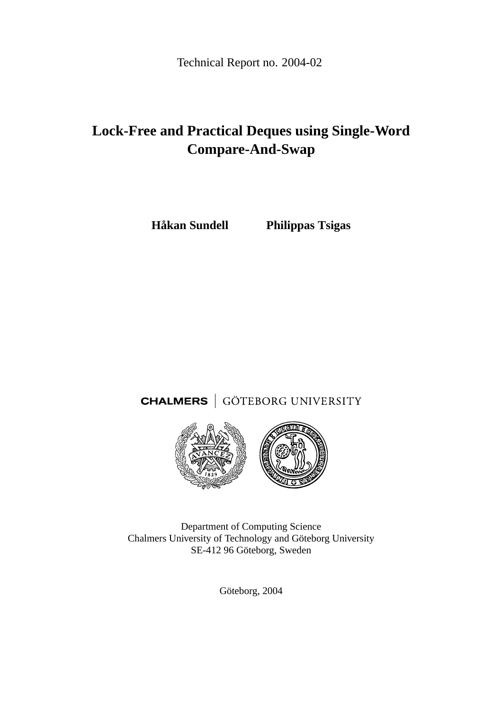Technical Report no. 2004-02

# **Lock-Free and Practical Deques using Single-Word Compare-And-Swap**

**Håkan Sundell Philippas Tsigas**

**CHALMERS** | GÖTEBORG UNIVERSITY



Department of Computing Science Chalmers University of Technology and Göteborg University SE-412 96 Göteborg, Sweden

Göteborg, 2004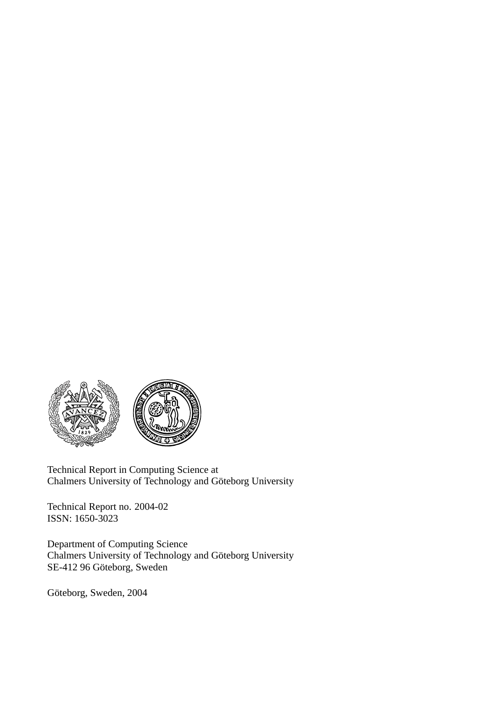

Technical Report in Computing Science at Chalmers University of Technology and Göteborg University

Technical Report no. 2004-02 ISSN: 1650-3023

Department of Computing Science Chalmers University of Technology and Göteborg University SE-412 96 Göteborg, Sweden

Göteborg, Sweden, 2004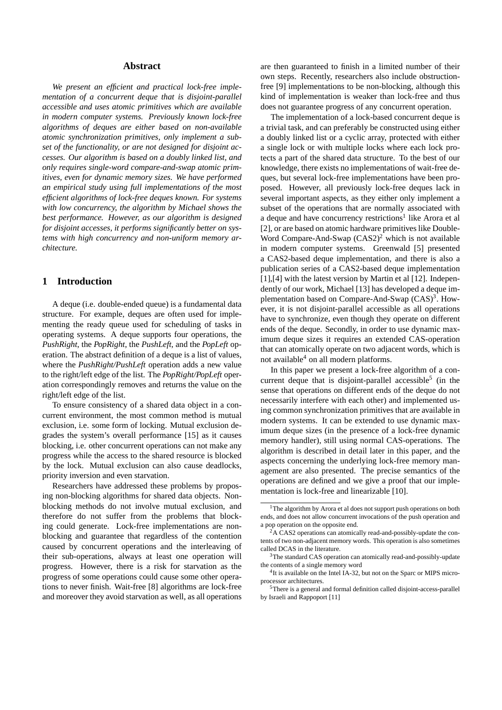#### **Abstract**

*We present an efficient and practical lock-free implementation of a concurrent deque that is disjoint-parallel accessible and uses atomic primitives which are available in modern computer systems. Previously known lock-free algorithms of deques are either based on non-available atomic synchronization primitives, only implement a subset of the functionality, or are not designed for disjoint accesses. Our algorithm is based on a doubly linked list, and only requires single-word compare-and-swap atomic primitives, even for dynamic memory sizes. We have performed an empirical study using full implementations of the most efficient algorithms of lock-free deques known. For systems with low concurrency, the algorithm by Michael shows the best performance. However, as our algorithm is designed for disjoint accesses, it performs significantly better on systems with high concurrency and non-uniform memory architecture.*

## **1 Introduction**

A deque (i.e. double-ended queue) is a fundamental data structure. For example, deques are often used for implementing the ready queue used for scheduling of tasks in operating systems. A deque supports four operations, the *PushRight*, the *PopRight*, the *PushLeft*, and the *PopLeft* operation. The abstract definition of a deque is a list of values, where the *PushRight/PushLeft* operation adds a new value to the right/left edge of the list. The *PopRight/PopLeft* operation correspondingly removes and returns the value on the right/left edge of the list.

To ensure consistency of a shared data object in a concurrent environment, the most common method is mutual exclusion, i.e. some form of locking. Mutual exclusion degrades the system's overall performance [15] as it causes blocking, i.e. other concurrent operations can not make any progress while the access to the shared resource is blocked by the lock. Mutual exclusion can also cause deadlocks, priority inversion and even starvation.

Researchers have addressed these problems by proposing non-blocking algorithms for shared data objects. Nonblocking methods do not involve mutual exclusion, and therefore do not suffer from the problems that blocking could generate. Lock-free implementations are nonblocking and guarantee that regardless of the contention caused by concurrent operations and the interleaving of their sub-operations, always at least one operation will progress. However, there is a risk for starvation as the progress of some operations could cause some other operations to never finish. Wait-free [8] algorithms are lock-free and moreover they avoid starvation as well, as all operations are then guaranteed to finish in a limited number of their own steps. Recently, researchers also include obstructionfree [9] implementations to be non-blocking, although this kind of implementation is weaker than lock-free and thus does not guarantee progress of any concurrent operation.

The implementation of a lock-based concurrent deque is a trivial task, and can preferably be constructed using either a doubly linked list or a cyclic array, protected with either a single lock or with multiple locks where each lock protects a part of the shared data structure. To the best of our knowledge, there exists no implementations of wait-free deques, but several lock-free implementations have been proposed. However, all previously lock-free deques lack in several important aspects, as they either only implement a subset of the operations that are normally associated with a deque and have concurrency restrictions<sup>1</sup> like Arora et al [2], or are based on atomic hardware primitives like Double-Word Compare-And-Swap  $(CAS2)^2$  which is not available in modern computer systems. Greenwald [5] presented a CAS2-based deque implementation, and there is also a publication series of a CAS2-based deque implementation [1],[4] with the latest version by Martin et al [12]. Independently of our work, Michael [13] has developed a deque implementation based on Compare-And-Swap  $(CAS)^3$ . However, it is not disjoint-parallel accessible as all operations have to synchronize, even though they operate on different ends of the deque. Secondly, in order to use dynamic maximum deque sizes it requires an extended CAS-operation that can atomically operate on two adjacent words, which is not available $4$  on all modern platforms.

In this paper we present a lock-free algorithm of a concurrent deque that is disjoint-parallel accessible<sup>5</sup> (in the sense that operations on different ends of the deque do not necessarily interfere with each other) and implemented using common synchronization primitives that are available in modern systems. It can be extended to use dynamic maximum deque sizes (in the presence of a lock-free dynamic memory handler), still using normal CAS-operations. The algorithm is described in detail later in this paper, and the aspects concerning the underlying lock-free memory management are also presented. The precise semantics of the operations are defined and we give a proof that our implementation is lock-free and linearizable [10].

<sup>&</sup>lt;sup>1</sup>The algorithm by Arora et al does not support push operations on both ends, and does not allow concurrent invocations of the push operation and a pop operation on the opposite end.

 ${}^{2}$ A CAS2 operations can atomically read-and-possibly-update the contents of two non-adjacent memory words. This operation is also sometimes called DCAS in the literature.

<sup>&</sup>lt;sup>3</sup>The standard CAS operation can atomically read-and-possibly-update the contents of a single memory word

<sup>&</sup>lt;sup>4</sup>It is available on the Intel IA-32, but not on the Sparc or MIPS microprocessor architectures.

<sup>5</sup>There is a general and formal definition called disjoint-access-parallel by Israeli and Rappoport [11]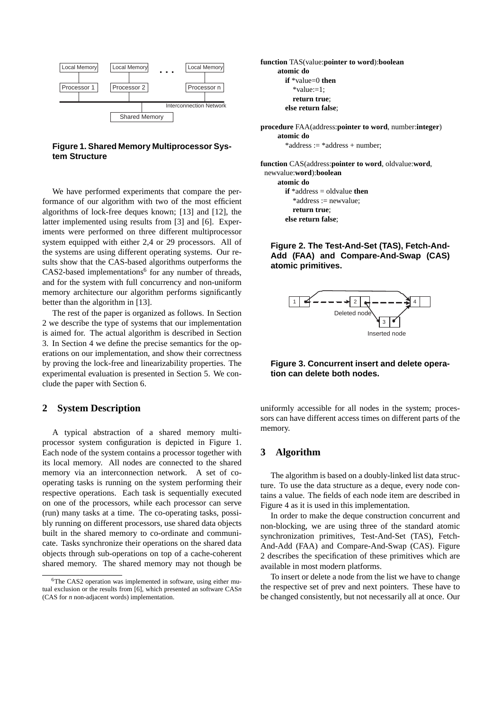

**Figure 1. Shared Memory Multiprocessor System Structure**

We have performed experiments that compare the performance of our algorithm with two of the most efficient algorithms of lock-free deques known; [13] and [12], the latter implemented using results from [3] and [6]. Experiments were performed on three different multiprocessor system equipped with either 2,4 or 29 processors. All of the systems are using different operating systems. Our results show that the CAS-based algorithms outperforms the  $CAS2$ -based implementations<sup>6</sup> for any number of threads, and for the system with full concurrency and non-uniform memory architecture our algorithm performs significantly better than the algorithm in [13].

The rest of the paper is organized as follows. In Section 2 we describe the type of systems that our implementation is aimed for. The actual algorithm is described in Section 3. In Section 4 we define the precise semantics for the operations on our implementation, and show their correctness by proving the lock-free and linearizability properties. The experimental evaluation is presented in Section 5. We conclude the paper with Section 6.

## **2 System Description**

A typical abstraction of a shared memory multiprocessor system configuration is depicted in Figure 1. Each node of the system contains a processor together with its local memory. All nodes are connected to the shared memory via an interconnection network. A set of cooperating tasks is running on the system performing their respective operations. Each task is sequentially executed on one of the processors, while each processor can serve (run) many tasks at a time. The co-operating tasks, possibly running on different processors, use shared data objects built in the shared memory to co-ordinate and communicate. Tasks synchronize their operations on the shared data objects through sub-operations on top of a cache-coherent shared memory. The shared memory may not though be **function** TAS(value:**pointer to word**):**boolean atomic do if** \*value=0 **then**  $*$ value:=1: **return true**; **else return false**;

**procedure** FAA(address:**pointer to word**, number:**integer**) **atomic do** \*address := \*address + number;

**function** CAS(address:**pointer to word**, oldvalue:**word**, newvalue:**word**):**boolean atomic do if** \*address = oldvalue **then** \*address := newvalue;

**return true**;

**else return false**;

**Figure 2. The Test-And-Set (TAS), Fetch-And-Add (FAA) and Compare-And-Swap (CAS) atomic primitives.**



## **Figure 3. Concurrent insert and delete operation can delete both nodes.**

uniformly accessible for all nodes in the system; processors can have different access times on different parts of the memory.

## **3 Algorithm**

The algorithm is based on a doubly-linked list data structure. To use the data structure as a deque, every node contains a value. The fields of each node item are described in Figure 4 as it is used in this implementation.

In order to make the deque construction concurrent and non-blocking, we are using three of the standard atomic synchronization primitives, Test-And-Set (TAS), Fetch-And-Add (FAA) and Compare-And-Swap (CAS). Figure 2 describes the specification of these primitives which are available in most modern platforms.

To insert or delete a node from the list we have to change the respective set of prev and next pointers. These have to be changed consistently, but not necessarily all at once. Our

<sup>6</sup>The CAS2 operation was implemented in software, using either mutual exclusion or the results from [6], which presented an software CAS*n* (CAS for *n* non-adjacent words) implementation.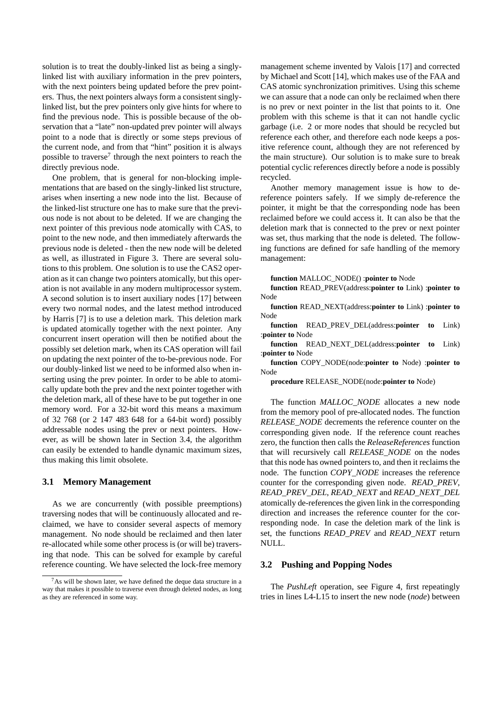solution is to treat the doubly-linked list as being a singlylinked list with auxiliary information in the prev pointers, with the next pointers being updated before the prev pointers. Thus, the next pointers always form a consistent singlylinked list, but the prev pointers only give hints for where to find the previous node. This is possible because of the observation that a "late" non-updated prev pointer will always point to a node that is directly or some steps previous of the current node, and from that "hint" position it is always possible to traverse<sup>7</sup> through the next pointers to reach the directly previous node.

One problem, that is general for non-blocking implementations that are based on the singly-linked list structure, arises when inserting a new node into the list. Because of the linked-list structure one has to make sure that the previous node is not about to be deleted. If we are changing the next pointer of this previous node atomically with CAS, to point to the new node, and then immediately afterwards the previous node is deleted - then the new node will be deleted as well, as illustrated in Figure 3. There are several solutions to this problem. One solution is to use the CAS2 operation as it can change two pointers atomically, but this operation is not available in any modern multiprocessor system. A second solution is to insert auxiliary nodes [17] between every two normal nodes, and the latest method introduced by Harris [7] is to use a deletion mark. This deletion mark is updated atomically together with the next pointer. Any concurrent insert operation will then be notified about the possibly set deletion mark, when its CAS operation will fail on updating the next pointer of the to-be-previous node. For our doubly-linked list we need to be informed also when inserting using the prev pointer. In order to be able to atomically update both the prev and the next pointer together with the deletion mark, all of these have to be put together in one memory word. For a 32-bit word this means a maximum of 32 768 (or 2 147 483 648 for a 64-bit word) possibly addressable nodes using the prev or next pointers. However, as will be shown later in Section 3.4, the algorithm can easily be extended to handle dynamic maximum sizes, thus making this limit obsolete.

#### **3.1 Memory Management**

As we are concurrently (with possible preemptions) traversing nodes that will be continuously allocated and reclaimed, we have to consider several aspects of memory management. No node should be reclaimed and then later re-allocated while some other process is (or will be) traversing that node. This can be solved for example by careful reference counting. We have selected the lock-free memory management scheme invented by Valois [17] and corrected by Michael and Scott [14], which makes use of the FAA and CAS atomic synchronization primitives. Using this scheme we can assure that a node can only be reclaimed when there is no prev or next pointer in the list that points to it. One problem with this scheme is that it can not handle cyclic garbage (i.e. 2 or more nodes that should be recycled but reference each other, and therefore each node keeps a positive reference count, although they are not referenced by the main structure). Our solution is to make sure to break potential cyclic references directly before a node is possibly recycled.

Another memory management issue is how to dereference pointers safely. If we simply de-reference the pointer, it might be that the corresponding node has been reclaimed before we could access it. It can also be that the deletion mark that is connected to the prev or next pointer was set, thus marking that the node is deleted. The following functions are defined for safe handling of the memory management:

**function** MALLOC\_NODE() :**pointer to** Node

**function** READ\_PREV(address:**pointer to** Link) :**pointer to** Node

**function** READ\_NEXT(address:**pointer to** Link) :**pointer to** Node

**function** READ\_PREV\_DEL(address:**pointer to** Link) :**pointer to** Node

**function** READ\_NEXT\_DEL(address:**pointer to** Link) :**pointer to** Node

**function** COPY\_NODE(node:**pointer to** Node) :**pointer to** Node

**procedure** RELEASE\_NODE(node:**pointer to** Node)

The function *MALLOC\_NODE* allocates a new node from the memory pool of pre-allocated nodes. The function *RELEASE\_NODE* decrements the reference counter on the corresponding given node. If the reference count reaches zero, the function then calls the *ReleaseReferences* function that will recursively call *RELEASE\_NODE* on the nodes that this node has owned pointers to, and then it reclaims the node. The function *COPY\_NODE* increases the reference counter for the corresponding given node. *READ\_PREV*, *READ\_PREV\_DEL*, *READ\_NEXT* and *READ\_NEXT\_DEL* atomically de-references the given link in the corresponding direction and increases the reference counter for the corresponding node. In case the deletion mark of the link is set, the functions *READ\_PREV* and *READ\_NEXT* return NULL.

#### **3.2 Pushing and Popping Nodes**

The *PushLeft* operation, see Figure 4, first repeatingly tries in lines L4-L15 to insert the new node (*node*) between

<sup>&</sup>lt;sup>7</sup>As will be shown later, we have defined the deque data structure in a way that makes it possible to traverse even through deleted nodes, as long as they are referenced in some way.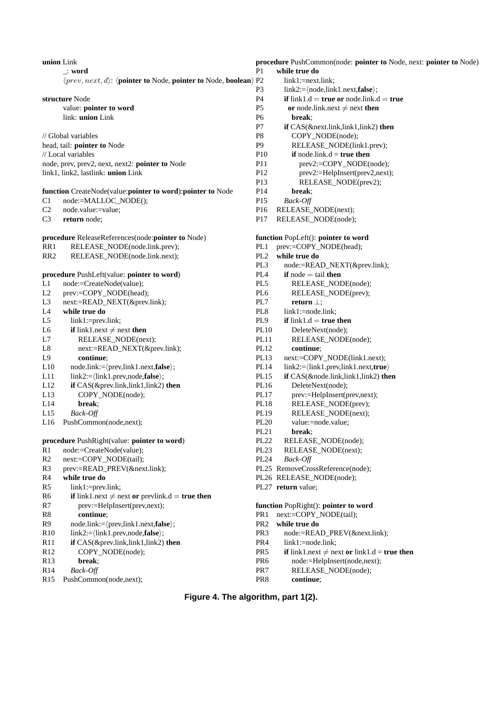| union Link      |                                                                                                  | procedure PushCommon(node: pointer to No |                                                       |
|-----------------|--------------------------------------------------------------------------------------------------|------------------------------------------|-------------------------------------------------------|
|                 | ⊥: word                                                                                          | P <sub>1</sub>                           | while true do                                         |
|                 | $\langle prev, next, d \rangle$ : $\langle pointer to Node, pointer to Node, boolean \rangle$ P2 |                                          | $link1:=nextlink:$                                    |
|                 |                                                                                                  | P <sub>3</sub>                           | $link2:=\langle node, link1.next, false \rangle;$     |
|                 | structure Node                                                                                   | P4                                       | if $link1.d = true$ or node.link.d = true             |
|                 | value: pointer to word                                                                           | P <sub>5</sub>                           | or node.link.next $\neq$ next then                    |
|                 | link: union Link                                                                                 | P <sub>6</sub>                           | break:                                                |
|                 |                                                                                                  | P7                                       | if CAS(&next.link,link1,link2) then                   |
|                 | // Global variables                                                                              | P8                                       | COPY_NODE(node);                                      |
|                 | head, tail: pointer to Node                                                                      | P <sub>9</sub>                           | RELEASE_NODE(link1.prev);                             |
|                 | // Local variables                                                                               | P <sub>10</sub>                          | if node.link. $d = true$ then                         |
|                 | node, prev, prev2, next, next2: pointer to Node                                                  | P11                                      | prev2:=COPY_NODE(node);                               |
|                 | link1, link2, lastlink: union Link                                                               | P <sub>12</sub>                          | prev2:=HelpInsert(prev2,next);                        |
|                 |                                                                                                  | P13                                      | RELEASE_NODE(prev2);                                  |
|                 | function CreateNode(value:pointer to word):pointer to Node                                       | P <sub>14</sub>                          | break:                                                |
| C1              | node:=MALLOC_NODE();                                                                             | P <sub>15</sub>                          | Back-Off                                              |
| C <sub>2</sub>  | node.value:=value;                                                                               | P <sub>16</sub>                          | RELEASE_NODE(next);                                   |
| C <sub>3</sub>  | return node:                                                                                     | P17                                      | RELEASE_NODE(node);                                   |
|                 | procedure ReleaseReferences(node:pointer to Node)                                                |                                          | function PopLeft(): pointer to word                   |
| RR1             | RELEASE_NODE(node.link.prev);                                                                    | PL1                                      | prev:=COPY_NODE(head);                                |
| RR <sub>2</sub> | RELEASE_NODE(node.link.next);                                                                    | PL2                                      | while true do                                         |
|                 |                                                                                                  | PL <sub>3</sub>                          | node:=READ_NEXT(&prev.link);                          |
|                 | procedure PushLeft(value: pointer to word)                                                       | PL4                                      | <b>if</b> node $=$ tail <b>then</b>                   |
| L1              | node:=CreateNode(value);                                                                         | PL5                                      | RELEASE_NODE(node);                                   |
| $\rm L2$        | prev:=COPY_NODE(head);                                                                           | PL6                                      | RELEASE_NODE(prev);                                   |
| L <sub>3</sub>  |                                                                                                  | PL7                                      |                                                       |
|                 | next:=READ_NEXT(&prev.link);                                                                     |                                          | return $\perp$ ;                                      |
| L4              | while true do                                                                                    | PL <sub>8</sub>                          | $link1:=node-link;$                                   |
| L5              | $link1:=prevlink;$                                                                               | PL9                                      | if $link1.d = true$ then                              |
| L <sub>6</sub>  | <b>if</b> link1.next $\neq$ next <b>then</b>                                                     | <b>PL10</b>                              | DeleteNext(node);                                     |
| L7              | RELEASE_NODE(next);                                                                              | PL <sub>11</sub>                         | RELEASE_NODE(node);                                   |
| L8              | next:=READ_NEXT(&prev.link);                                                                     | PL12                                     | continue;                                             |
| L9              | continue:                                                                                        | <b>PL13</b>                              | next:=COPY_NODE(link1.next);                          |
| L10             | $node .link:=\langle prev, link1.next, false \rangle;$                                           | PL14                                     | $link2:=\langle link1.prev, link1.next, true \rangle$ |
| L11             | $link2:=\langle link1.\text{prev},\text{node},\text{false}\rangle;$                              | <b>PL15</b>                              | if CAS(&node.link,link1,link2) then                   |
| L12             | if CAS(&prev.link,link1,link2) then                                                              | PL16                                     | DeleteNext(node);                                     |
| L13             | COPY_NODE(node);                                                                                 | <b>PL17</b>                              | prev:=HelpInsert(prev,next);                          |
| L14             | break;                                                                                           | <b>PL18</b>                              | RELEASE_NODE(prev);                                   |
| L15             | Back-Off                                                                                         | PL19                                     | RELEASE_NODE(next);                                   |
| L16             | PushCommon(node,next);                                                                           | <b>PL20</b>                              | value:=node.value;                                    |
|                 |                                                                                                  | PL21                                     | break;                                                |
|                 | procedure PushRight(value: pointer to word)                                                      | <b>PL22</b>                              | RELEASE_NODE(node);                                   |
| R1              | node:=CreateNode(value);                                                                         | PL <sub>23</sub>                         | RELEASE_NODE(next);                                   |
| R2              | next:=COPY_NODE(tail);                                                                           | PL24                                     | Back-Off                                              |
| R <sub>3</sub>  | prev:=READ_PREV(&next.link);                                                                     |                                          | PL25 RemoveCrossReference(node);                      |
| R4              | while true do                                                                                    |                                          | PL26 RELEASE_NODE(node);                              |
| R <sub>5</sub>  | link1:=prev.link;                                                                                |                                          | PL27 return value;                                    |
| R <sub>6</sub>  | <b>if</b> link1.next $\neq$ next or prevlink.d = true then                                       |                                          |                                                       |
| R7              | prev:=HelpInsert(prev,next);                                                                     |                                          | function PopRight(): pointer to word                  |
|                 |                                                                                                  |                                          |                                                       |
| ${\bf R8}$      | continue;                                                                                        | PR <sub>1</sub>                          | next:=COPY_NODE(tail);                                |
| R9              | $node .link:=\langle prev, link1.next, false \rangle;$                                           | PR <sub>2</sub>                          | while true do                                         |
| R10             | $link2:=\langle link1.\text{prev},\text{node},\text{false}\rangle;$                              | PR <sub>3</sub>                          | node:=READ_PREV(&next.link);                          |
| R11             | if CAS(&prev.link,link1,link2) then                                                              | PR <sub>4</sub>                          | link1:=node.link;                                     |
| R <sub>12</sub> | COPY_NODE(node);                                                                                 | PR <sub>5</sub>                          | <b>if</b> link1.next $\neq$ next or link1.d = true    |
| R13             | break;                                                                                           | PR6                                      | node:=HelpInsert(node,next);                          |
| R14             | Back-Off                                                                                         | PR7                                      | RELEASE_NODE(node);                                   |
| R <sub>15</sub> | PushCommon(node,next);                                                                           | PR8                                      | continue;                                             |
|                 |                                                                                                  |                                          |                                                       |

## **procedure pointer to** Node, next: **pointer to** Node) t.link; de,link1.next,**false**);  $=$  **true or** node.link.d  $=$  **true**  $\text{ink.next} \neq \text{next} \text{ then}$

# **Figure 4. The algorithm, part 1(2).**

#### fighter to word  $NODE(tail);$

- 
- 
- AD\_PREV(&next.link);
- le.link:
- $ext{\ } \neq$  next **or** link1.d = **true then**
- $leh[Inset(node,next);$
- SE\_NODE(node);
-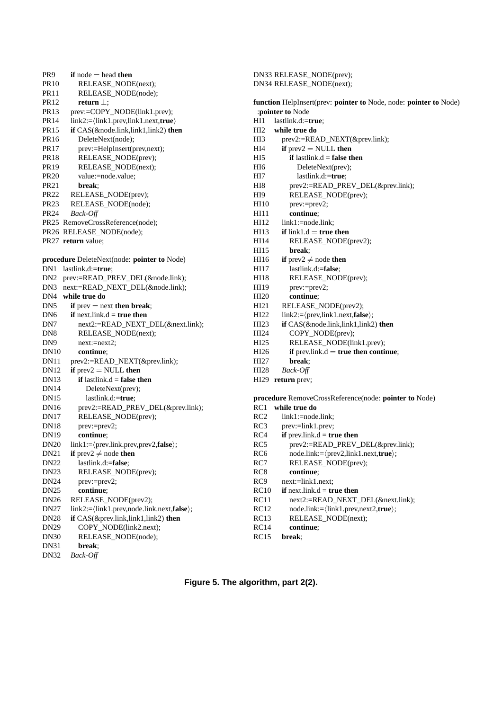| PR9              | if node $=$ head then                                    |
|------------------|----------------------------------------------------------|
| PR <sub>10</sub> | RELEASE_NODE(next);                                      |
| PR <sub>11</sub> | RELEASE_NODE(node);                                      |
| PR <sub>12</sub> | return $\perp$ ;                                         |
| PR <sub>13</sub> | prev:=COPY_NODE(link1.prev);                             |
| PR <sub>14</sub> | $link2:=\langle link1ه1, prev, link1.next, true \rangle$ |
| PR <sub>15</sub> | if CAS(&node.link,link1,link2) then                      |
| PR <sub>16</sub> | DeleteNext(node);                                        |
| PR17             | prev:=HelpInsert(prev,next);                             |
| PR <sub>18</sub> | RELEASE_NODE(prev);                                      |
| PR <sub>19</sub> | RELEASE_NODE(next);                                      |
| <b>PR20</b>      | value:=node.value;                                       |
| PR <sub>21</sub> | break:                                                   |
| PR <sub>22</sub> | RELEASE_NODE(prev);                                      |
| PR <sub>23</sub> | RELEASE_NODE(node);                                      |
| PR <sub>24</sub> | Back-Off                                                 |
|                  | PR25 RemoveCrossReference(node);                         |
|                  | PR26 RELEASE_NODE(node);                                 |
|                  | PR27 return value;                                       |
|                  |                                                          |
|                  | procedure DeleteNext(node: pointer to Node)              |
| DN1              | lastlink.d:=true;                                        |
| DN <sub>2</sub>  | prev:=READ_PREV_DEL(&node.link);                         |
| DN3              | next:=READ_NEXT_DEL(&node.link);                         |
| DN4              | while true do                                            |
| DN5              | if $prev = next$ then break;                             |
| DN6              | if next.link. $d = true$ then                            |
| DN7              | next2:=READ_NEXT_DEL(&next.link);                        |
| DN8              | RELEASE_NODE(next);                                      |
| DN9              | $next:=next2;$                                           |
| DN10             | continue:                                                |
| DN11             | prev2:=READ_NEXT(&prev.link);                            |
| DN12             | if $prev2 = NULL$ then                                   |
| DN <sub>13</sub> | if lastlink. $d =$ false then                            |
| DN <sub>14</sub> | DeleteNext(prev);                                        |
| DN <sub>15</sub> | lastlink.d:=true;                                        |
| DN <sub>16</sub> | prev2:=READ_PREV_DEL(&prev.link);                        |
| DN <sub>17</sub> | RELEASE_NODE(prev);                                      |
| <b>DN18</b>      | prev:=prev2;                                             |
| DN <sub>19</sub> | continue:                                                |
| <b>DN20</b>      | $link1:=\langle prevlink.prev,prev2, false \rangle;$     |
| <b>DN21</b>      | if prev2 $\neq$ node then                                |
| <b>DN22</b>      | lastlink.d:=false:                                       |
| DN <sub>23</sub> | RELEASE_NODE(prev);                                      |
| DN <sub>24</sub> | prev:=prev2;                                             |
| <b>DN25</b>      | continue;                                                |
| DN <sub>26</sub> | RELEASE_NODE(prev2);                                     |
| DN27             | link2:=\link1.prev,node.link.next,false\;                |
| DN28             | if CAS(&prev.link,link1,link2) then                      |
| DN29             | COPY_NODE(link2.next);                                   |
| <b>DN30</b>      | RELEASE_NODE(node);                                      |
| DN31             | break;                                                   |
| <b>DN32</b>      | Back-Off                                                 |

|                  | DN33 RELEASE_NODE(prev);                                                              |
|------------------|---------------------------------------------------------------------------------------|
|                  | DN34 RELEASE_NODE(next);                                                              |
|                  | function HelpInsert(prev: pointer to Node, node: pointer to Node)<br>:pointer to Node |
| HH1              | lastlink.d:=true;                                                                     |
| HI <sub>2</sub>  | while true do                                                                         |
| HI3              | prev2:=READ_NEXT(&prev.link);                                                         |
| HI4              | if $prev2 = NULL$ then                                                                |
| HI5              | if lastlink. $d =$ false then                                                         |
| HI6              | DeleteNext(prev);                                                                     |
| HI7              | lastlink.d:=true;                                                                     |
| HI8              | prev2:=READ_PREV_DEL(&prev.link);                                                     |
| HI9              |                                                                                       |
|                  | RELEASE_NODE(prev);                                                                   |
| HI <sub>10</sub> | $prev:=prev2;$                                                                        |
| HI11             | continue;                                                                             |
| HI12             | $link1:=nodelink;$<br><b>if</b> link1. $d =$ <b>true then</b>                         |
| HI13             |                                                                                       |
| HI14             | RELEASE_NODE(prev2);                                                                  |
| HI15             | break;                                                                                |
| HI16             | <b>if</b> prev2 $\neq$ node <b>then</b>                                               |
| HI17             | lastlink.d:=false;                                                                    |
| HI18             | RELEASE_NODE(prev);                                                                   |
| HI19             | $prev:=prev2;$                                                                        |
| HI20             | continue;                                                                             |
| HI21             | RELEASE_NODE(prev2);                                                                  |
| HI22             | $link2:=\langle prev, link1.next, false \rangle;$                                     |
| HI23             | if CAS(&node.link,link1,link2) then                                                   |
| HI24             | COPY_NODE(prev);                                                                      |
| HI25             | RELEASE_NODE(link1.prev);                                                             |
| HI26             | if prev.link. $d = true$ then continue;                                               |
| HI27             | break:                                                                                |
| HI28             | Back-Off                                                                              |
| HI29             | return prev;                                                                          |
|                  |                                                                                       |
|                  | procedure RemoveCrossReference(node: pointer to Node)                                 |
| RC1              | while true do                                                                         |
| RC <sub>2</sub>  | $link1:=nodelink;$                                                                    |
| RC3              | prev:=link1.prev;                                                                     |
| RC4              | if prev.link. $d = true$ then                                                         |
| RC5              | prev2:=READ_PREV_DEL(&prev.link);                                                     |
| RC6              | $node .link:=\langle prev2, link1.next, true \rangle;$                                |
| RC7              | RELEASE_NODE(prev);                                                                   |
| RC8              | continue;                                                                             |
| RC9              | next:=link1.next;                                                                     |
| <b>RC10</b>      | if $next-link.d = true then$                                                          |
| RC11             | next2:=READ_NEXT_DEL(&next.link);                                                     |
| RC12             | node.link:=\link1.prev,next2,true\;                                                   |
| RC13             | RELEASE_NODE(next);                                                                   |
| RC14             | continue;                                                                             |
| RC15             | break:                                                                                |

**Figure 5. The algorithm, part 2(2).**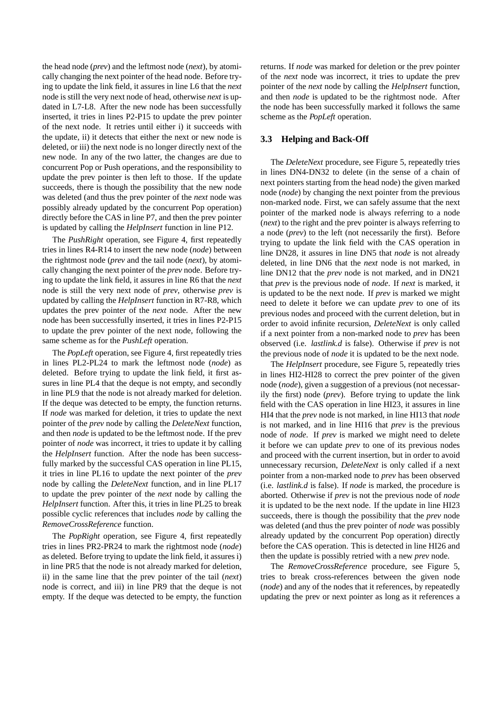the head node (*prev*) and the leftmost node (*next*), by atomically changing the next pointer of the head node. Before trying to update the link field, it assures in line L6 that the *next* node is still the very next node of head, otherwise *next* is updated in L7-L8. After the new node has been successfully inserted, it tries in lines P2-P15 to update the prev pointer of the next node. It retries until either i) it succeeds with the update, ii) it detects that either the next or new node is deleted, or iii) the next node is no longer directly next of the new node. In any of the two latter, the changes are due to concurrent Pop or Push operations, and the responsibility to update the prev pointer is then left to those. If the update succeeds, there is though the possibility that the new node was deleted (and thus the prev pointer of the *next* node was possibly already updated by the concurrent Pop operation) directly before the CAS in line P7, and then the prev pointer is updated by calling the *HelpInsert* function in line P12.

The *PushRight* operation, see Figure 4, first repeatedly tries in lines R4-R14 to insert the new node (*node*) between the rightmost node (*prev* and the tail node (*next*), by atomically changing the next pointer of the *prev* node. Before trying to update the link field, it assures in line R6 that the *next* node is still the very next node of *prev*, otherwise *prev* is updated by calling the *HelpInsert* function in R7-R8, which updates the prev pointer of the *next* node. After the new node has been successfully inserted, it tries in lines P2-P15 to update the prev pointer of the next node, following the same scheme as for the *PushLeft* operation.

The *PopLeft* operation, see Figure 4, first repeatedly tries in lines PL2-PL24 to mark the leftmost node (*node*) as deleted. Before trying to update the link field, it first assures in line PL4 that the deque is not empty, and secondly in line PL9 that the node is not already marked for deletion. If the deque was detected to be empty, the function returns. If *node* was marked for deletion, it tries to update the next pointer of the *prev* node by calling the *DeleteNext* function, and then *node* is updated to be the leftmost node. If the prev pointer of *node* was incorrect, it tries to update it by calling the *HelpInsert* function. After the node has been successfully marked by the successful CAS operation in line PL15, it tries in line PL16 to update the next pointer of the *prev* node by calling the *DeleteNext* function, and in line PL17 to update the prev pointer of the *next* node by calling the *HelpInsert* function. After this, it tries in line PL25 to break possible cyclic references that includes *node* by calling the *RemoveCrossReference* function.

The *PopRight* operation, see Figure 4, first repeatedly tries in lines PR2-PR24 to mark the rightmost node (*node*) as deleted. Before trying to update the link field, it assures i) in line PR5 that the node is not already marked for deletion, ii) in the same line that the prev pointer of the tail (*next*) node is correct, and iii) in line PR9 that the deque is not empty. If the deque was detected to be empty, the function returns. If *node* was marked for deletion or the prev pointer of the *next* node was incorrect, it tries to update the prev pointer of the *next* node by calling the *HelpInsert* function, and then *node* is updated to be the rightmost node. After the node has been successfully marked it follows the same scheme as the *PopLeft* operation.

#### **3.3 Helping and Back-Off**

The *DeleteNext* procedure, see Figure 5, repeatedly tries in lines DN4-DN32 to delete (in the sense of a chain of next pointers starting from the head node) the given marked node (*node*) by changing the next pointer from the previous non-marked node. First, we can safely assume that the next pointer of the marked node is always referring to a node (*next*) to the right and the prev pointer is always referring to a node (*prev*) to the left (not necessarily the first). Before trying to update the link field with the CAS operation in line DN28, it assures in line DN5 that *node* is not already deleted, in line DN6 that the *next* node is not marked, in line DN12 that the *prev* node is not marked, and in DN21 that *prev* is the previous node of *node*. If *next* is marked, it is updated to be the next node. If *prev* is marked we might need to delete it before we can update *prev* to one of its previous nodes and proceed with the current deletion, but in order to avoid infinite recursion, *DeleteNext* is only called if a next pointer from a non-marked node to *prev* has been observed (i.e. *lastlink.d* is false). Otherwise if *prev* is not the previous node of *node* it is updated to be the next node.

The *HelpInsert* procedure, see Figure 5, repeatedly tries in lines HI2-HI28 to correct the prev pointer of the given node (*node*), given a suggestion of a previous (not necessarily the first) node (*prev*). Before trying to update the link field with the CAS operation in line HI23, it assures in line HI4 that the *prev* node is not marked, in line HI13 that *node* is not marked, and in line HI16 that *prev* is the previous node of *node*. If *prev* is marked we might need to delete it before we can update *prev* to one of its previous nodes and proceed with the current insertion, but in order to avoid unnecessary recursion, *DeleteNext* is only called if a next pointer from a non-marked node to *prev* has been observed (i.e. *lastlink.d* is false). If *node* is marked, the procedure is aborted. Otherwise if *prev* is not the previous node of *node* it is updated to be the next node. If the update in line HI23 succeeds, there is though the possibility that the *prev* node was deleted (and thus the prev pointer of *node* was possibly already updated by the concurrent Pop operation) directly before the CAS operation. This is detected in line HI26 and then the update is possibly retried with a new *prev* node.

The *RemoveCrossReference* procedure, see Figure 5, tries to break cross-references between the given node (*node*) and any of the nodes that it references, by repeatedly updating the prev or next pointer as long as it references a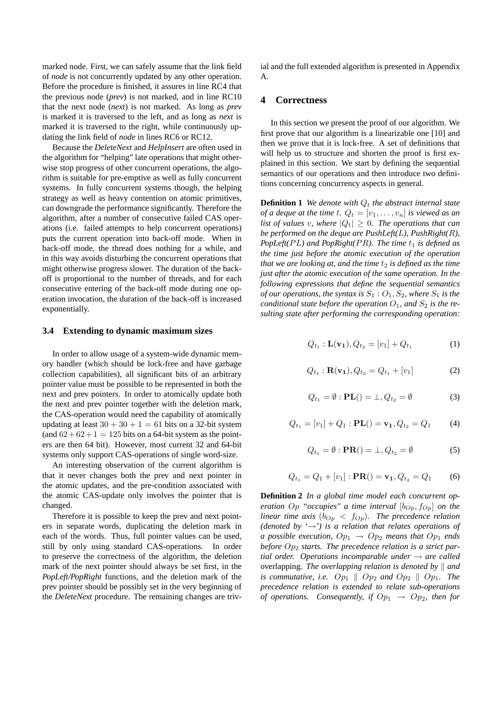marked node. First, we can safely assume that the link field of *node* is not concurrently updated by any other operation. Before the procedure is finished, it assures in line RC4 that the previous node (*prev*) is not marked, and in line RC10 that the next node (*next*) is not marked. As long as *prev* is marked it is traversed to the left, and as long as *next* is marked it is traversed to the right, while continuously updating the link field of *node* in lines RC6 or RC12.

Because the *DeleteNext* and *HelpInsert* are often used in the algorithm for "helping" late operations that might otherwise stop progress of other concurrent operations, the algorithm is suitable for pre-emptive as well as fully concurrent systems. In fully concurrent systems though, the helping strategy as well as heavy contention on atomic primitives, can downgrade the performance significantly. Therefore the algorithm, after a number of consecutive failed CAS operations (i.e. failed attempts to help concurrent operations) puts the current operation into back-off mode. When in back-off mode, the thread does nothing for a while, and in this way avoids disturbing the concurrent operations that might otherwise progress slower. The duration of the backoff is proportional to the number of threads, and for each consecutive entering of the back-off mode during one operation invocation, the duration of the back-off is increased exponentially.

#### **3.4 Extending to dynamic maximum sizes**

In order to allow usage of a system-wide dynamic memory handler (which should be lock-free and have garbage collection capabilities), all significant bits of an arbitrary pointer value must be possible to be represented in both the next and prev pointers. In order to atomically update both the next and prev pointer together with the deletion mark, the CAS-operation would need the capability of atomically updating at least  $30 + 30 + 1 = 61$  bits on a 32-bit system (and  $62 + 62 + 1 = 125$  bits on a 64-bit system as the pointers are then 64 bit). However, most current 32 and 64-bit systems only support CAS-operations of single word-size.

An interesting observation of the current algorithm is that it never changes both the prev and next pointer in the atomic updates, and the pre-condition associated with the atomic CAS-update only involves the pointer that is changed.

Therefore it is possible to keep the prev and next pointers in separate words, duplicating the deletion mark in each of the words. Thus, full pointer values can be used, still by only using standard CAS-operations. In order to preserve the correctness of the algorithm, the deletion mark of the next pointer should always be set first, in the *PopLeft/PopRight* functions, and the deletion mark of the prev pointer should be possibly set in the very beginning of the *DeleteNext* procedure. The remaining changes are trivial and the full extended algorithm is presented in Appendix A.

#### **4 Correctness**

In this section we present the proof of our algorithm. We first prove that our algorithm is a linearizable one [10] and then we prove that it is lock-free. A set of definitions that will help us to structure and shorten the proof is first explained in this section. We start by defining the sequential semantics of our operations and then introduce two definitions concerning concurrency aspects in general.

**Definition 1** *We denote with*  $Q_t$  *the abstract internal state of a deque at the time t.*  $Q_t = [v_1, \ldots, v_n]$  *is viewed as an list of values v, where*  $|Q_t| \geq 0$ *. The operations that can be performed on the deque are PushLeft(*L*), PushRight(*R*), PopLeft(PL)* and *PopRight(PR). The time*  $t_1$  *is defined as the time just before the atomic execution of the operation that we are looking at, and the time*  $t_2$  *is defined as the time just after the atomic execution of the same operation. In the following expressions that define the sequential semantics of our operations, the syntax is*  $S_1$  :  $O_1$ ,  $S_2$ *, where*  $S_1$  *is the conditional state before the operation*  $O_1$ *, and*  $S_2$  *is the resulting state after performing the corresponding operation:*

$$
Q_{t_1} : \mathbf{L}(\mathbf{v_1}), Q_{t_2} = [v_1] + Q_{t_1}
$$
 (1)

$$
Q_{t_1}: \mathbf{R}(\mathbf{v_1}), Q_{t_2} = Q_{t_1} + [v_1]
$$
 (2)

$$
Q_{t_1} = \emptyset : \mathbf{PL}() = \bot, Q_{t_2} = \emptyset
$$
 (3)

$$
Q_{t_1} = [v_1] + Q_1 : \mathbf{PL}() = \mathbf{v_1}, Q_{t_2} = Q_1 \tag{4}
$$

$$
Q_{t_1} = \emptyset : \mathbf{PR}() = \bot, Q_{t_2} = \emptyset \tag{5}
$$

$$
Q_{t_1} = Q_1 + [v_1] : \mathbf{PR}() = \mathbf{v_1}, Q_{t_2} = Q_1 \tag{6}
$$

**Definition 2** *In a global time model each concurrent operation*  $Op$  "*occupies*" *a time interval*  $[b<sub>Op</sub>, f<sub>Op</sub>]$  *on the linear time axis* ( $b_{Op} < f_{Op}$ ). The precedence relation *(denoted by '*→*') is a relation that relates operations of a possible execution,*  $Op_1 \rightarrow Op_2$  *means that*  $Op_1$  *ends* before Op<sub>2</sub> starts. The precedence relation is a strict par*tial order. Operations incomparable under* → *are called* overlapping. The overlapping relation is denoted by  $\parallel$  and *is commutative, i.e.*  $Op_1 \parallel Op_2$  *and*  $Op_2 \parallel Op_1$ *. The precedence relation is extended to relate sub-operations of operations.* Consequently, if  $Op_1 \rightarrow Op_2$ , then for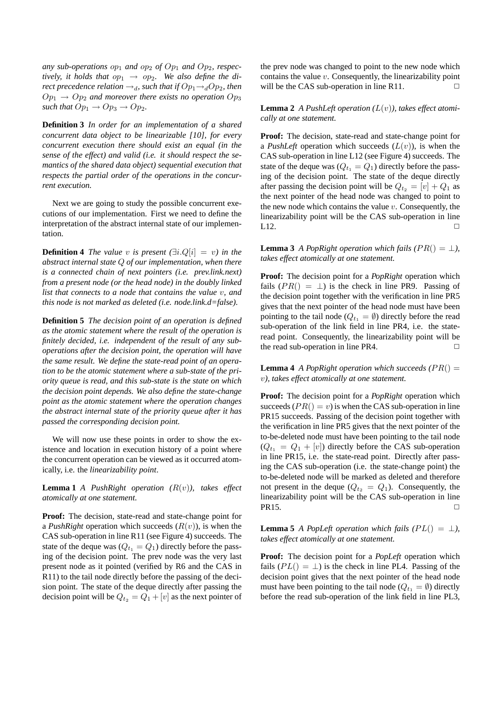any sub-operations  $op_1$  and  $op_2$  of  $Op_1$  and  $Op_2$ , respec*tively, it holds that*  $op_1 \rightarrow op_2$ . We also define the di*rect precedence relation*  $\rightarrow_d$ *, such that if*  $Op_1 \rightarrow_d Op_2$ *, then*  $Op_1 \rightarrow Op_2$  and moreover there exists no operation  $Op_3$ *such that*  $Op_1 \rightarrow Op_3 \rightarrow Op_2$ *.* 

**Definition 3** *In order for an implementation of a shared concurrent data object to be linearizable [10], for every concurrent execution there should exist an equal (in the sense of the effect) and valid (i.e. it should respect the semantics of the shared data object) sequential execution that respects the partial order of the operations in the concurrent execution.*

Next we are going to study the possible concurrent executions of our implementation. First we need to define the interpretation of the abstract internal state of our implementation.

**Definition 4** *The value* v *is present*  $(\exists i.Q[i] = v)$  *in the abstract internal state* Q *of our implementation, when there is a connected chain of next pointers (i.e. prev.link.next) from a present node (or the head node) in the doubly linked list that connects to a node that contains the value* v*, and this node is not marked as deleted (i.e. node.link.d=false).*

**Definition 5** *The decision point of an operation is defined as the atomic statement where the result of the operation is finitely decided, i.e. independent of the result of any suboperations after the decision point, the operation will have the same result. We define the state-read point of an operation to be the atomic statement where a sub-state of the priority queue is read, and this sub-state is the state on which the decision point depends. We also define the state-change point as the atomic statement where the operation changes the abstract internal state of the priority queue after it has passed the corresponding decision point.*

We will now use these points in order to show the existence and location in execution history of a point where the concurrent operation can be viewed as it occurred atomically, i.e. the *linearizability point*.

**Lemma 1** *A PushRight operation*  $(R(v))$ *, takes effect atomically at one statement.*

**Proof:** The decision, state-read and state-change point for a *PushRight* operation which succeeds  $(R(v))$ , is when the CAS sub-operation in line R11 (see Figure 4) succeeds. The state of the deque was  $(Q_{t_1} = Q_1)$  directly before the passing of the decision point. The prev node was the very last present node as it pointed (verified by R6 and the CAS in R11) to the tail node directly before the passing of the decision point. The state of the deque directly after passing the decision point will be  $Q_{t_2} = Q_1 + [v]$  as the next pointer of the prev node was changed to point to the new node which contains the value  $v$ . Consequently, the linearizability point will be the CAS sub-operation in line R11.  $\Box$ 

**Lemma 2** *A PushLeft operation*  $(L(v))$ *, takes effect atomically at one statement.*

**Proof:** The decision, state-read and state-change point for a *PushLeft* operation which succeeds  $(L(v))$ , is when the CAS sub-operation in line L12 (see Figure 4) succeeds. The state of the deque was  $(Q_{t_1} = Q_1)$  directly before the passing of the decision point. The state of the deque directly after passing the decision point will be  $Q_{t_2} = [v] + Q_1$  as the next pointer of the head node was changed to point to the new node which contains the value  $v$ . Consequently, the linearizability point will be the CAS sub-operation in line  $L12.$ 

**Lemma 3** *A PopRight operation which fails (PR()* =  $\perp$ ), *takes effect atomically at one statement.*

**Proof:** The decision point for a *PopRight* operation which fails  $(PR() = \perp)$  is the check in line PR9. Passing of the decision point together with the verification in line PR5 gives that the next pointer of the head node must have been pointing to the tail node ( $Q_{t_1} = \emptyset$ ) directly before the read sub-operation of the link field in line PR4, i.e. the stateread point. Consequently, the linearizability point will be the read sub-operation in line PR4.  $\Box$ 

**Lemma 4** *A PopRight operation which succeeds (PR() =* v*), takes effect atomically at one statement.*

**Proof:** The decision point for a *PopRight* operation which succeeds  $(PR() = v)$  is when the CAS sub-operation in line PR15 succeeds. Passing of the decision point together with the verification in line PR5 gives that the next pointer of the to-be-deleted node must have been pointing to the tail node  $(Q_{t_1} = Q_1 + [v])$  directly before the CAS sub-operation in line PR15, i.e. the state-read point. Directly after passing the CAS sub-operation (i.e. the state-change point) the to-be-deleted node will be marked as deleted and therefore not present in the deque  $(Q_{t_2} = Q_1)$ . Consequently, the linearizability point will be the CAS sub-operation in line  $PR15.$ 

**Lemma 5** *A PopLeft operation which fails (PL()* =  $\perp$ ), *takes effect atomically at one statement.*

**Proof:** The decision point for a *PopLeft* operation which fails  $(PL() = \perp)$  is the check in line PL4. Passing of the decision point gives that the next pointer of the head node must have been pointing to the tail node ( $Q_{t_1} = \emptyset$ ) directly before the read sub-operation of the link field in line PL3,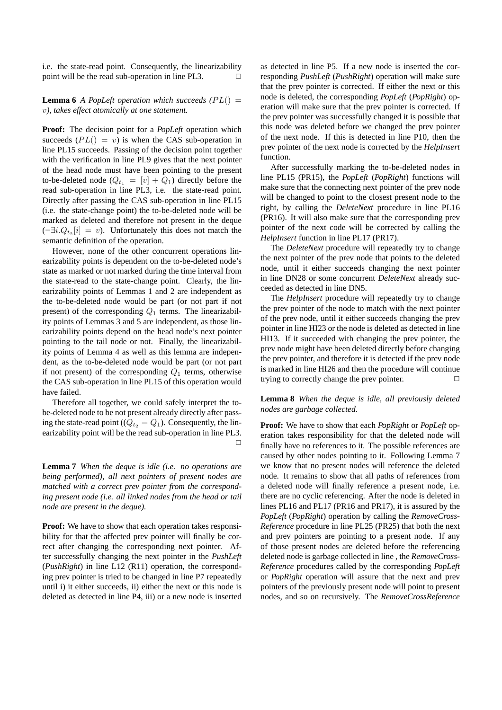i.e. the state-read point. Consequently, the linearizability point will be the read sub-operation in line PL3.  $\Box$ 

**Lemma 6** *A PopLeft operation which succeeds (PL()* = v*), takes effect atomically at one statement.*

**Proof:** The decision point for a *PopLeft* operation which succeeds  $(PL() = v)$  is when the CAS sub-operation in line PL15 succeeds. Passing of the decision point together with the verification in line PL9 gives that the next pointer of the head node must have been pointing to the present to-be-deleted node  $(Q_{t_1} = [v] + Q_1)$  directly before the read sub-operation in line PL3, i.e. the state-read point. Directly after passing the CAS sub-operation in line PL15 (i.e. the state-change point) the to-be-deleted node will be marked as deleted and therefore not present in the deque  $(\neg \exists i.Q_{t_2} | i] = v$ ). Unfortunately this does not match the semantic definition of the operation.

However, none of the other concurrent operations linearizability points is dependent on the to-be-deleted node's state as marked or not marked during the time interval from the state-read to the state-change point. Clearly, the linearizability points of Lemmas 1 and 2 are independent as the to-be-deleted node would be part (or not part if not present) of the corresponding  $Q_1$  terms. The linearizability points of Lemmas 3 and 5 are independent, as those linearizability points depend on the head node's next pointer pointing to the tail node or not. Finally, the linearizability points of Lemma 4 as well as this lemma are independent, as the to-be-deleted node would be part (or not part if not present) of the corresponding  $Q_1$  terms, otherwise the CAS sub-operation in line PL15 of this operation would have failed.

Therefore all together, we could safely interpret the tobe-deleted node to be not present already directly after passing the state-read point ( $(Q_t, = Q_1)$ ). Consequently, the linearizability point will be the read sub-operation in line PL3.  $\Box$ 

**Lemma 7** *When the deque is idle (i.e. no operations are being performed), all next pointers of present nodes are matched with a correct prev pointer from the corresponding present node (i.e. all linked nodes from the head or tail node are present in the deque).*

**Proof:** We have to show that each operation takes responsibility for that the affected prev pointer will finally be correct after changing the corresponding next pointer. After successfully changing the next pointer in the *PushLeft* (*PushRight*) in line L12 (R11) operation, the corresponding prev pointer is tried to be changed in line P7 repeatedly until i) it either succeeds, ii) either the next or this node is deleted as detected in line P4, iii) or a new node is inserted as detected in line P5. If a new node is inserted the corresponding *PushLeft* (*PushRight*) operation will make sure that the prev pointer is corrected. If either the next or this node is deleted, the corresponding *PopLeft* (*PopRight*) operation will make sure that the prev pointer is corrected. If the prev pointer was successfully changed it is possible that this node was deleted before we changed the prev pointer of the next node. If this is detected in line P10, then the prev pointer of the next node is corrected by the *HelpInsert* function.

After successfully marking the to-be-deleted nodes in line PL15 (PR15), the *PopLeft* (*PopRight*) functions will make sure that the connecting next pointer of the prev node will be changed to point to the closest present node to the right, by calling the *DeleteNext* procedure in line PL16 (PR16). It will also make sure that the corresponding prev pointer of the next code will be corrected by calling the *HelpInsert* function in line PL17 (PR17).

The *DeleteNext* procedure will repeatedly try to change the next pointer of the prev node that points to the deleted node, until it either succeeds changing the next pointer in line DN28 or some concurrent *DeleteNext* already succeeded as detected in line DN5.

The *HelpInsert* procedure will repeatedly try to change the prev pointer of the node to match with the next pointer of the prev node, until it either succeeds changing the prev pointer in line HI23 or the node is deleted as detected in line HI13. If it succeeded with changing the prev pointer, the prev node might have been deleted directly before changing the prev pointer, and therefore it is detected if the prev node is marked in line HI26 and then the procedure will continue trying to correctly change the prev pointer.  $\Box$ 

#### **Lemma 8** *When the deque is idle, all previously deleted nodes are garbage collected.*

**Proof:** We have to show that each *PopRight* or *PopLeft* operation takes responsibility for that the deleted node will finally have no references to it. The possible references are caused by other nodes pointing to it. Following Lemma 7 we know that no present nodes will reference the deleted node. It remains to show that all paths of references from a deleted node will finally reference a present node, i.e. there are no cyclic referencing. After the node is deleted in lines PL16 and PL17 (PR16 and PR17), it is assured by the *PopLeft* (*PopRight*) operation by calling the *RemoveCross-Reference* procedure in line PL25 (PR25) that both the next and prev pointers are pointing to a present node. If any of those present nodes are deleted before the referencing deleted node is garbage collected in line , the *RemoveCross-Reference* procedures called by the corresponding *PopLeft* or *PopRight* operation will assure that the next and prev pointers of the previously present node will point to present nodes, and so on recursively. The *RemoveCrossReference*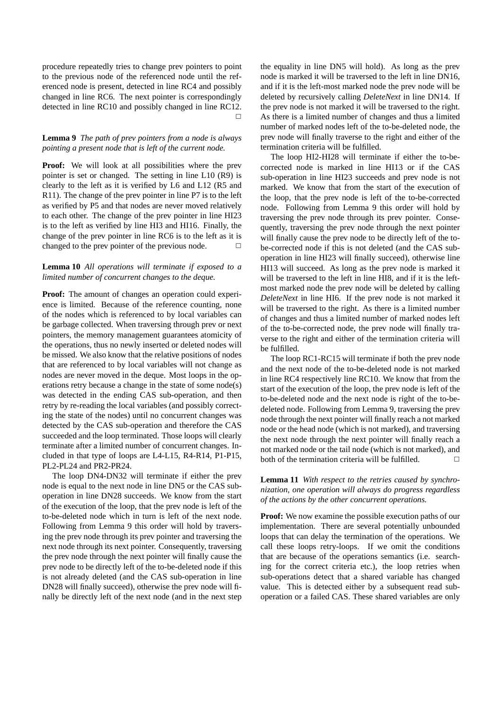procedure repeatedly tries to change prev pointers to point to the previous node of the referenced node until the referenced node is present, detected in line RC4 and possibly changed in line RC6. The next pointer is correspondingly detected in line RC10 and possibly changed in line RC12.  $\Box$ 

#### **Lemma 9** *The path of prev pointers from a node is always pointing a present node that is left of the current node.*

**Proof:** We will look at all possibilities where the prev pointer is set or changed. The setting in line L10 (R9) is clearly to the left as it is verified by L6 and L12 (R5 and R11). The change of the prev pointer in line P7 is to the left as verified by P5 and that nodes are never moved relatively to each other. The change of the prev pointer in line HI23 is to the left as verified by line HI3 and HI16. Finally, the change of the prev pointer in line RC6 is to the left as it is changed to the prev pointer of the previous node.

## **Lemma 10** *All operations will terminate if exposed to a limited number of concurrent changes to the deque.*

**Proof:** The amount of changes an operation could experience is limited. Because of the reference counting, none of the nodes which is referenced to by local variables can be garbage collected. When traversing through prev or next pointers, the memory management guarantees atomicity of the operations, thus no newly inserted or deleted nodes will be missed. We also know that the relative positions of nodes that are referenced to by local variables will not change as nodes are never moved in the deque. Most loops in the operations retry because a change in the state of some node(s) was detected in the ending CAS sub-operation, and then retry by re-reading the local variables (and possibly correcting the state of the nodes) until no concurrent changes was detected by the CAS sub-operation and therefore the CAS succeeded and the loop terminated. Those loops will clearly terminate after a limited number of concurrent changes. Included in that type of loops are L4-L15, R4-R14, P1-P15, PL2-PL24 and PR2-PR24.

The loop DN4-DN32 will terminate if either the prev node is equal to the next node in line DN5 or the CAS suboperation in line DN28 succeeds. We know from the start of the execution of the loop, that the prev node is left of the to-be-deleted node which in turn is left of the next node. Following from Lemma 9 this order will hold by traversing the prev node through its prev pointer and traversing the next node through its next pointer. Consequently, traversing the prev node through the next pointer will finally cause the prev node to be directly left of the to-be-deleted node if this is not already deleted (and the CAS sub-operation in line DN28 will finally succeed), otherwise the prev node will finally be directly left of the next node (and in the next step the equality in line DN5 will hold). As long as the prev node is marked it will be traversed to the left in line DN16, and if it is the left-most marked node the prev node will be deleted by recursively calling *DeleteNext* in line DN14. If the prev node is not marked it will be traversed to the right. As there is a limited number of changes and thus a limited number of marked nodes left of the to-be-deleted node, the prev node will finally traverse to the right and either of the termination criteria will be fulfilled.

The loop HI2-HI28 will terminate if either the to-becorrected node is marked in line HI13 or if the CAS sub-operation in line HI23 succeeds and prev node is not marked. We know that from the start of the execution of the loop, that the prev node is left of the to-be-corrected node. Following from Lemma 9 this order will hold by traversing the prev node through its prev pointer. Consequently, traversing the prev node through the next pointer will finally cause the prev node to be directly left of the tobe-corrected node if this is not deleted (and the CAS suboperation in line HI23 will finally succeed), otherwise line HI13 will succeed. As long as the prev node is marked it will be traversed to the left in line HI8, and if it is the leftmost marked node the prev node will be deleted by calling *DeleteNext* in line HI6. If the prev node is not marked it will be traversed to the right. As there is a limited number of changes and thus a limited number of marked nodes left of the to-be-corrected node, the prev node will finally traverse to the right and either of the termination criteria will be fulfilled.

The loop RC1-RC15 will terminate if both the prev node and the next node of the to-be-deleted node is not marked in line RC4 respectively line RC10. We know that from the start of the execution of the loop, the prev node is left of the to-be-deleted node and the next node is right of the to-bedeleted node. Following from Lemma 9, traversing the prev node through the next pointer will finally reach a not marked node or the head node (which is not marked), and traversing the next node through the next pointer will finally reach a not marked node or the tail node (which is not marked), and both of the termination criteria will be fulfilled.  $\Box$ 

**Lemma 11** *With respect to the retries caused by synchronization, one operation will always do progress regardless of the actions by the other concurrent operations.*

**Proof:** We now examine the possible execution paths of our implementation. There are several potentially unbounded loops that can delay the termination of the operations. We call these loops retry-loops. If we omit the conditions that are because of the operations semantics (i.e. searching for the correct criteria etc.), the loop retries when sub-operations detect that a shared variable has changed value. This is detected either by a subsequent read suboperation or a failed CAS. These shared variables are only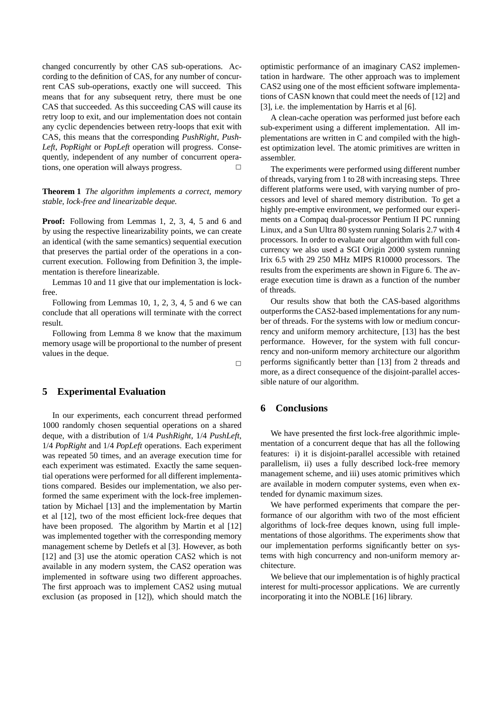changed concurrently by other CAS sub-operations. According to the definition of CAS, for any number of concurrent CAS sub-operations, exactly one will succeed. This means that for any subsequent retry, there must be one CAS that succeeded. As this succeeding CAS will cause its retry loop to exit, and our implementation does not contain any cyclic dependencies between retry-loops that exit with CAS, this means that the corresponding *PushRight*, *Push-Left*, *PopRight* or *PopLeft* operation will progress. Consequently, independent of any number of concurrent operations, one operation will always progress.  $\Box$ 

**Theorem 1** *The algorithm implements a correct, memory stable, lock-free and linearizable deque.*

**Proof:** Following from Lemmas 1, 2, 3, 4, 5 and 6 and by using the respective linearizability points, we can create an identical (with the same semantics) sequential execution that preserves the partial order of the operations in a concurrent execution. Following from Definition 3, the implementation is therefore linearizable.

Lemmas 10 and 11 give that our implementation is lockfree.

Following from Lemmas 10, 1, 2, 3, 4, 5 and 6 we can conclude that all operations will terminate with the correct result.

Following from Lemma 8 we know that the maximum memory usage will be proportional to the number of present values in the deque.

 $\Box$ 

## **5 Experimental Evaluation**

In our experiments, each concurrent thread performed 1000 randomly chosen sequential operations on a shared deque, with a distribution of 1/4 *PushRight*, 1/4 *PushLeft*, 1/4 *PopRight* and 1/4 *PopLeft* operations. Each experiment was repeated 50 times, and an average execution time for each experiment was estimated. Exactly the same sequential operations were performed for all different implementations compared. Besides our implementation, we also performed the same experiment with the lock-free implementation by Michael [13] and the implementation by Martin et al [12], two of the most efficient lock-free deques that have been proposed. The algorithm by Martin et al [12] was implemented together with the corresponding memory management scheme by Detlefs et al [3]. However, as both [12] and [3] use the atomic operation CAS2 which is not available in any modern system, the CAS2 operation was implemented in software using two different approaches. The first approach was to implement CAS2 using mutual exclusion (as proposed in [12]), which should match the optimistic performance of an imaginary CAS2 implementation in hardware. The other approach was to implement CAS2 using one of the most efficient software implementations of CASN known that could meet the needs of [12] and [3], i.e. the implementation by Harris et al [6].

A clean-cache operation was performed just before each sub-experiment using a different implementation. All implementations are written in C and compiled with the highest optimization level. The atomic primitives are written in assembler.

The experiments were performed using different number of threads, varying from 1 to 28 with increasing steps. Three different platforms were used, with varying number of processors and level of shared memory distribution. To get a highly pre-emptive environment, we performed our experiments on a Compaq dual-processor Pentium II PC running Linux, and a Sun Ultra 80 system running Solaris 2.7 with 4 processors. In order to evaluate our algorithm with full concurrency we also used a SGI Origin 2000 system running Irix 6.5 with 29 250 MHz MIPS R10000 processors. The results from the experiments are shown in Figure 6. The average execution time is drawn as a function of the number of threads.

Our results show that both the CAS-based algorithms outperforms the CAS2-based implementations for any number of threads. For the systems with low or medium concurrency and uniform memory architecture, [13] has the best performance. However, for the system with full concurrency and non-uniform memory architecture our algorithm performs significantly better than [13] from 2 threads and more, as a direct consequence of the disjoint-parallel accessible nature of our algorithm.

## **6 Conclusions**

We have presented the first lock-free algorithmic implementation of a concurrent deque that has all the following features: i) it is disjoint-parallel accessible with retained parallelism, ii) uses a fully described lock-free memory management scheme, and iii) uses atomic primitives which are available in modern computer systems, even when extended for dynamic maximum sizes.

We have performed experiments that compare the performance of our algorithm with two of the most efficient algorithms of lock-free deques known, using full implementations of those algorithms. The experiments show that our implementation performs significantly better on systems with high concurrency and non-uniform memory architecture.

We believe that our implementation is of highly practical interest for multi-processor applications. We are currently incorporating it into the NOBLE [16] library.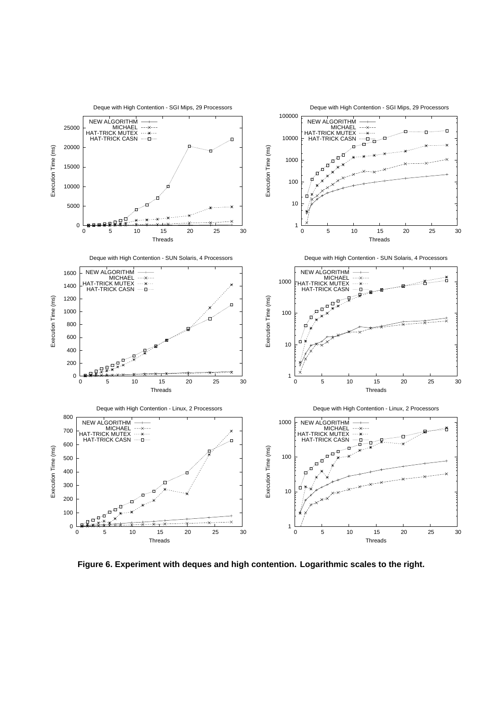

**Figure 6. Experiment with deques and high contention. Logarithmic scales to the right.**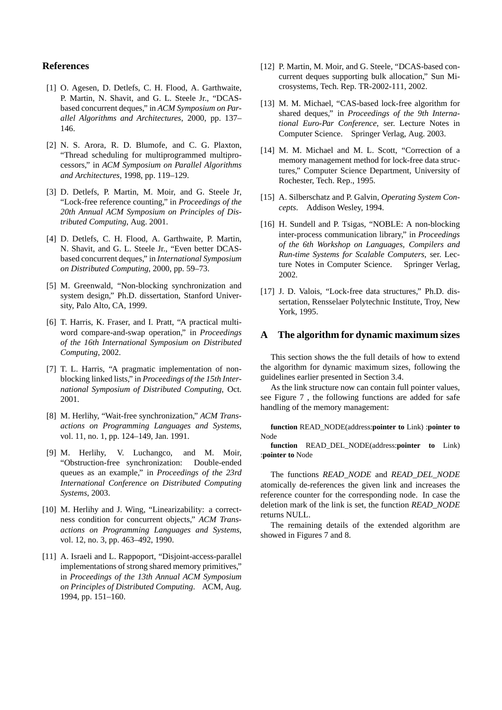## **References**

- [1] O. Agesen, D. Detlefs, C. H. Flood, A. Garthwaite, P. Martin, N. Shavit, and G. L. Steele Jr., "DCASbased concurrent deques," in *ACM Symposium on Parallel Algorithms and Architectures*, 2000, pp. 137– 146.
- [2] N. S. Arora, R. D. Blumofe, and C. G. Plaxton, "Thread scheduling for multiprogrammed multiprocessors," in *ACM Symposium on Parallel Algorithms and Architectures*, 1998, pp. 119–129.
- [3] D. Detlefs, P. Martin, M. Moir, and G. Steele Jr, "Lock-free reference counting," in *Proceedings of the 20th Annual ACM Symposium on Principles of Distributed Computing*, Aug. 2001.
- [4] D. Detlefs, C. H. Flood, A. Garthwaite, P. Martin, N. Shavit, and G. L. Steele Jr., "Even better DCASbased concurrent deques," in *International Symposium on Distributed Computing*, 2000, pp. 59–73.
- [5] M. Greenwald, "Non-blocking synchronization and system design," Ph.D. dissertation, Stanford University, Palo Alto, CA, 1999.
- [6] T. Harris, K. Fraser, and I. Pratt, "A practical multiword compare-and-swap operation," in *Proceedings of the 16th International Symposium on Distributed Computing*, 2002.
- [7] T. L. Harris, "A pragmatic implementation of nonblocking linked lists," in *Proceedings of the 15th International Symposium of Distributed Computing*, Oct. 2001.
- [8] M. Herlihy, "Wait-free synchronization," *ACM Transactions on Programming Languages and Systems*, vol. 11, no. 1, pp. 124–149, Jan. 1991.
- [9] M. Herlihy, V. Luchangco, and M. Moir, "Obstruction-free synchronization: Double-ended queues as an example," in *Proceedings of the 23rd International Conference on Distributed Computing Systems*, 2003.
- [10] M. Herlihy and J. Wing, "Linearizability: a correctness condition for concurrent objects," *ACM Transactions on Programming Languages and Systems*, vol. 12, no. 3, pp. 463–492, 1990.
- [11] A. Israeli and L. Rappoport, "Disjoint-access-parallel implementations of strong shared memory primitives," in *Proceedings of the 13th Annual ACM Symposium on Principles of Distributed Computing*. ACM, Aug. 1994, pp. 151–160.
- [12] P. Martin, M. Moir, and G. Steele, "DCAS-based concurrent deques supporting bulk allocation," Sun Microsystems, Tech. Rep. TR-2002-111, 2002.
- [13] M. M. Michael, "CAS-based lock-free algorithm for shared deques," in *Proceedings of the 9th International Euro-Par Conference*, ser. Lecture Notes in Computer Science. Springer Verlag, Aug. 2003.
- [14] M. M. Michael and M. L. Scott, "Correction of a memory management method for lock-free data structures," Computer Science Department, University of Rochester, Tech. Rep., 1995.
- [15] A. Silberschatz and P. Galvin, *Operating System Concepts*. Addison Wesley, 1994.
- [16] H. Sundell and P. Tsigas, "NOBLE: A non-blocking inter-process communication library," in *Proceedings of the 6th Workshop on Languages, Compilers and Run-time Systems for Scalable Computers*, ser. Lecture Notes in Computer Science. Springer Verlag, 2002.
- [17] J. D. Valois, "Lock-free data structures," Ph.D. dissertation, Rensselaer Polytechnic Institute, Troy, New York, 1995.

## **A The algorithm for dynamic maximum sizes**

This section shows the the full details of how to extend the algorithm for dynamic maximum sizes, following the guidelines earlier presented in Section 3.4.

As the link structure now can contain full pointer values, see Figure 7 , the following functions are added for safe handling of the memory management:

**function** READ\_NODE(address:**pointer to** Link) :**pointer to** Node

**function** READ\_DEL\_NODE(address:**pointer to** Link) :**pointer to** Node

The functions *READ\_NODE* and *READ\_DEL\_NODE* atomically de-references the given link and increases the reference counter for the corresponding node. In case the deletion mark of the link is set, the function *READ\_NODE* returns NULL.

The remaining details of the extended algorithm are showed in Figures 7 and 8.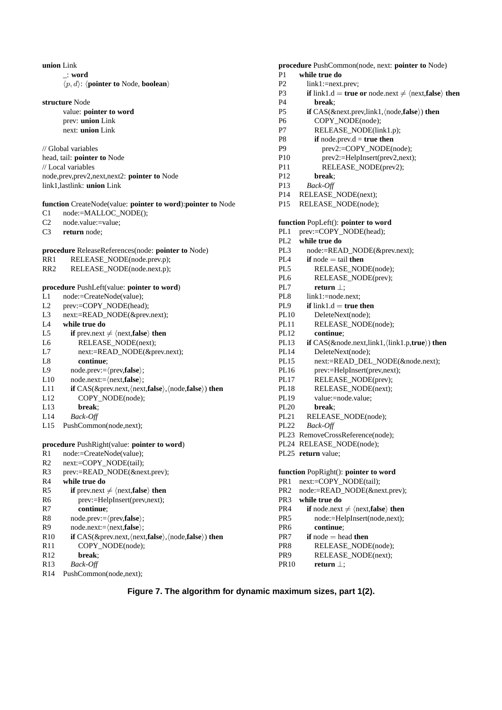#### **union** Link

\_: **word**  $\langle p, d \rangle$ :  $\langle$ **pointer to** Node, **boolean** $\rangle$ 

#### **structure** Node

value: **pointer to word** prev: **union** Link next: **union** Link

#### // Global variables

head, tail: **pointer to** Node // Local variables node,prev,prev2,next,next2: **pointer to** Node link1,lastlink: **union** Link

## **function** CreateNode(value: **pointer to word**):**pointer to** Node

C1 node:=MALLOC\_NODE();

C2 node.value:=value;

C3 **return** node;

#### **procedure** ReleaseReferences(node: **pointer to** Node)

- RR1 RELEASE\_NODE(node.prev.p);
- RR2 RELEASE\_NODE(node.next.p);

#### **procedure** PushLeft(value: **pointer to word**)

- L1 node:=CreateNode(value);
- L2 prev:=COPY\_NODE(head);
- L3 next:=READ\_NODE(&prev.next);
- L4 **while true do**
- L5 **if** prev.next  $\neq$   $\langle$  next, **false** $\rangle$  **then**<br>L6 **RELEASE NODE**(next);
- RELEASE\_NODE(next);
- L7 next:=READ\_NODE(&prev.next);
- L8 **continue**;
- L9 node.prev:= $\langle \text{prev, false} \rangle$ ;<br>I.10 node next:= $\langle \text{next false} \rangle$ :
- L10 node.next:= $\langle$ next,**false** $\rangle$ ;<br>L11 **if** CAS(&prev.next, (next)
- L11 **if** CAS(&prev.next,\/next,**false**),\/node,**false**}) **then**<br>L12 COPY NODE(node):
- COPY\_NODE(node);
- L13 **break**;
- L14 *Back-Off*
- L15 PushCommon(node,next);

#### **procedure** PushRight(value: **pointer to word**)

- R1 node:=CreateNode(value);
- R2 next:=COPY\_NODE(tail);
- R3 prev:=READ\_NODE(&next.prev);
- R4 **while true do**
- R5 **if** prev.next  $\neq$   $\langle$  next, **false** $\rangle$  **then**<br>R6 **b** prev:=HelpInsert(prev.next):
- prev:=HelpInsert(prev,next);
- R7 **continue**;
- R8 node.prev:= $\langle$ prev,**false** $\rangle$ ;<br>R9 node.next:= $\langle$ next.**false** $\rangle$ :
- R9 node.next:= $\langle$ next,**false** $\rangle$ ;<br>R10 **if** CAS(&prev.next, $\langle$ next
- R10 **if** CAS(&prev.next,\mext,**false**\,\mext,false\) **then**<br>R11 **COPY** NODE(node); COPY\_NODE(node);
- R12 **break**;
- R13 *Back-Off*
- R14 PushCommon(node,next);
- **procedure** PushCommon(node, next: **pointer to** Node)
- P1 **while true do**
- P2 link1:=next.prev;
- P3 **if** link1.d = **true or** node.next  $\neq$   $\langle$  next,**false** $\rangle$  **then**<br>P4 **break**:
- break<sup>;</sup>
- **P5 if** CAS(&next.prev,link1,\node,**false**)) **then**<br>P6 **COPY** NODE(node):
- COPY\_NODE(node);
- P7 RELEASE\_NODE(link1.p);
- P8 **if** node.prev.d = **true then**
- P9 prev2:=COPY\_NODE(node);
- P10 prev2:=HelpInsert(prev2,next);
- P11 RELEASE\_NODE(prev2);
- P12 **break**;
- P13 *Back-Off*
- P14 RELEASE\_NODE(next);
- P15 RELEASE\_NODE(node);

#### **function** PopLeft(): **pointer to word**

- PL1 prev:=COPY\_NODE(head);
- PL2 **while true do**
- PL3 node:=READ\_NODE(&prev.next);
- $PL4$  **if** node = tail **then**
- PL5 RELEASE\_NODE(node);
- PL6 RELEASE\_NODE(prev);
- PL7 **return** ⊥;<br>PL8 link1:=node.
- $link1:=node.next;$
- PL9 **if** link1.d = **true then**
- PL10 DeleteNext(node);
- PL11 RELEASE\_NODE(node);
- PL12 **continue**;
- **PL13 if** CAS(&node.next,link1,\link1.p,**true**)) **then**<br>PL14 DeleteNext(node);
	- DeleteNext(node);
- PL15 next:=READ\_DEL\_NODE(&node.next);
- PL16 prev:=HelpInsert(prev,next);
- PL17 RELEASE\_NODE(prev);
- PL18 RELEASE\_NODE(next);
- PL19 value:=node.value;
- PL20 **break**;
- PL21 RELEASE\_NODE(node);
- PL22 *Back-Off*
- PL23 RemoveCrossReference(node);
- PL24 RELEASE\_NODE(node);
- PL25 **return** value;

## **function** PopRight(): **pointer to word**

- PR1 next:=COPY\_NODE(tail);
- PR2 node:=READ\_NODE(&next.prev);
- PR3 **while true do**
- **PR4 if** node.next  $\neq$   $\langle$  next,**false** $\rangle$  **then**<br>**PR5 node:**=HelpInsert(node.next):
	- node:=HelpInsert(node,next);
- PR6 **continue**;
- PR7 **if** node = head **then**
- PR8 RELEASE\_NODE(node);
- PR9 RELEASE\_NODE(next);
- PR10 **return** ⊥;

## **Figure 7. The algorithm for dynamic maximum sizes, part 1(2).**